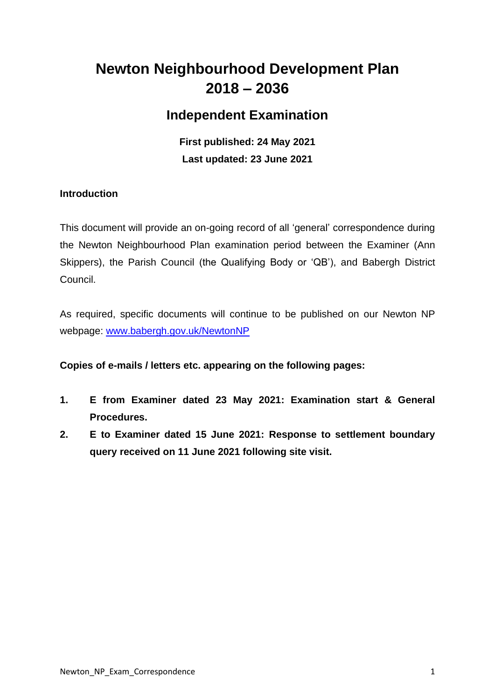# **Newton Neighbourhood Development Plan 2018 – 2036**

# **Independent Examination**

**First published: 24 May 2021 Last updated: 23 June 2021**

### **Introduction**

This document will provide an on-going record of all 'general' correspondence during the Newton Neighbourhood Plan examination period between the Examiner (Ann Skippers), the Parish Council (the Qualifying Body or 'QB'), and Babergh District Council.

As required, specific documents will continue to be published on our Newton NP webpage: [www.babergh.gov.uk/NewtonNP](http://www.babergh.gov.uk/NewtonNP)

### **Copies of e-mails / letters etc. appearing on the following pages:**

- **1. E from Examiner dated 23 May 2021: Examination start & General Procedures.**
- **2. E to Examiner dated 15 June 2021: Response to settlement boundary query received on 11 June 2021 following site visit.**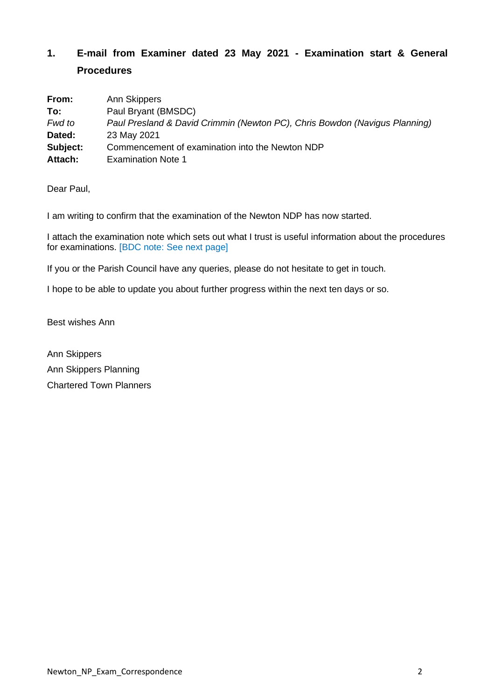## **1. E-mail from Examiner dated 23 May 2021 - Examination start & General Procedures**

| From:    | Ann Skippers                                                               |  |
|----------|----------------------------------------------------------------------------|--|
| To:      | Paul Bryant (BMSDC)                                                        |  |
| Fwd to   | Paul Presland & David Crimmin (Newton PC), Chris Bowdon (Navigus Planning) |  |
| Dated:   | 23 May 2021                                                                |  |
| Subject: | Commencement of examination into the Newton NDP                            |  |
| Attach:  | <b>Examination Note 1</b>                                                  |  |

Dear Paul,

I am writing to confirm that the examination of the Newton NDP has now started.

I attach the examination note which sets out what I trust is useful information about the procedures for examinations. [BDC note: See next page]

If you or the Parish Council have any queries, please do not hesitate to get in touch.

I hope to be able to update you about further progress within the next ten days or so.

Best wishes Ann

Ann Skippers Ann Skippers Planning Chartered Town Planners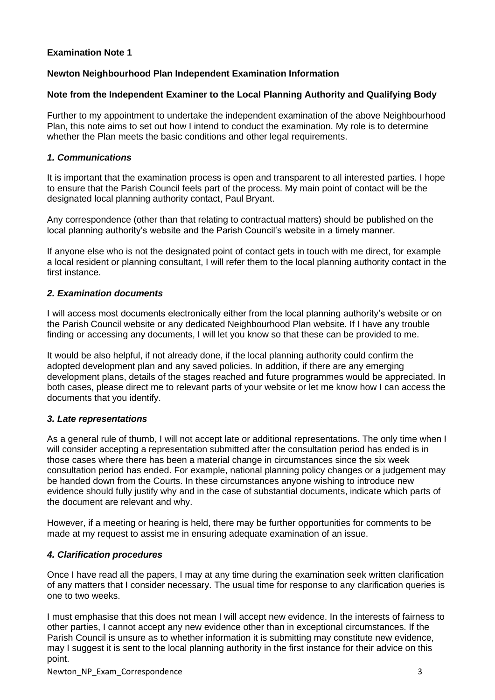#### **Examination Note 1**

#### **Newton Neighbourhood Plan Independent Examination Information**

#### **Note from the Independent Examiner to the Local Planning Authority and Qualifying Body**

Further to my appointment to undertake the independent examination of the above Neighbourhood Plan, this note aims to set out how I intend to conduct the examination. My role is to determine whether the Plan meets the basic conditions and other legal requirements.

#### *1. Communications*

It is important that the examination process is open and transparent to all interested parties. I hope to ensure that the Parish Council feels part of the process. My main point of contact will be the designated local planning authority contact, Paul Bryant.

Any correspondence (other than that relating to contractual matters) should be published on the local planning authority's website and the Parish Council's website in a timely manner.

If anyone else who is not the designated point of contact gets in touch with me direct, for example a local resident or planning consultant, I will refer them to the local planning authority contact in the first instance.

#### *2. Examination documents*

I will access most documents electronically either from the local planning authority's website or on the Parish Council website or any dedicated Neighbourhood Plan website. If I have any trouble finding or accessing any documents, I will let you know so that these can be provided to me.

It would be also helpful, if not already done, if the local planning authority could confirm the adopted development plan and any saved policies. In addition, if there are any emerging development plans, details of the stages reached and future programmes would be appreciated. In both cases, please direct me to relevant parts of your website or let me know how I can access the documents that you identify.

#### *3. Late representations*

As a general rule of thumb, I will not accept late or additional representations. The only time when I will consider accepting a representation submitted after the consultation period has ended is in those cases where there has been a material change in circumstances since the six week consultation period has ended. For example, national planning policy changes or a judgement may be handed down from the Courts. In these circumstances anyone wishing to introduce new evidence should fully justify why and in the case of substantial documents, indicate which parts of the document are relevant and why.

However, if a meeting or hearing is held, there may be further opportunities for comments to be made at my request to assist me in ensuring adequate examination of an issue.

#### *4. Clarification procedures*

Once I have read all the papers, I may at any time during the examination seek written clarification of any matters that I consider necessary. The usual time for response to any clarification queries is one to two weeks.

I must emphasise that this does not mean I will accept new evidence. In the interests of fairness to other parties, I cannot accept any new evidence other than in exceptional circumstances. If the Parish Council is unsure as to whether information it is submitting may constitute new evidence, may I suggest it is sent to the local planning authority in the first instance for their advice on this point.

Newton\_NP\_Exam\_Correspondence 3 3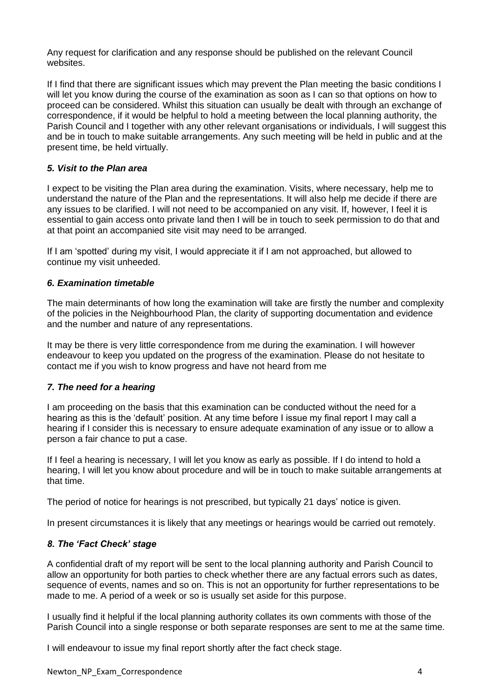Any request for clarification and any response should be published on the relevant Council websites.

If I find that there are significant issues which may prevent the Plan meeting the basic conditions I will let you know during the course of the examination as soon as I can so that options on how to proceed can be considered. Whilst this situation can usually be dealt with through an exchange of correspondence, if it would be helpful to hold a meeting between the local planning authority, the Parish Council and I together with any other relevant organisations or individuals, I will suggest this and be in touch to make suitable arrangements. Any such meeting will be held in public and at the present time, be held virtually.

#### *5. Visit to the Plan area*

I expect to be visiting the Plan area during the examination. Visits, where necessary, help me to understand the nature of the Plan and the representations. It will also help me decide if there are any issues to be clarified. I will not need to be accompanied on any visit. If, however, I feel it is essential to gain access onto private land then I will be in touch to seek permission to do that and at that point an accompanied site visit may need to be arranged.

If I am 'spotted' during my visit, I would appreciate it if I am not approached, but allowed to continue my visit unheeded.

#### *6. Examination timetable*

The main determinants of how long the examination will take are firstly the number and complexity of the policies in the Neighbourhood Plan, the clarity of supporting documentation and evidence and the number and nature of any representations.

It may be there is very little correspondence from me during the examination. I will however endeavour to keep you updated on the progress of the examination. Please do not hesitate to contact me if you wish to know progress and have not heard from me

#### *7. The need for a hearing*

I am proceeding on the basis that this examination can be conducted without the need for a hearing as this is the 'default' position. At any time before I issue my final report I may call a hearing if I consider this is necessary to ensure adequate examination of any issue or to allow a person a fair chance to put a case.

If I feel a hearing is necessary, I will let you know as early as possible. If I do intend to hold a hearing, I will let you know about procedure and will be in touch to make suitable arrangements at that time.

The period of notice for hearings is not prescribed, but typically 21 days' notice is given.

In present circumstances it is likely that any meetings or hearings would be carried out remotely.

### *8. The 'Fact Check' stage*

A confidential draft of my report will be sent to the local planning authority and Parish Council to allow an opportunity for both parties to check whether there are any factual errors such as dates, sequence of events, names and so on. This is not an opportunity for further representations to be made to me. A period of a week or so is usually set aside for this purpose.

I usually find it helpful if the local planning authority collates its own comments with those of the Parish Council into a single response or both separate responses are sent to me at the same time.

I will endeavour to issue my final report shortly after the fact check stage.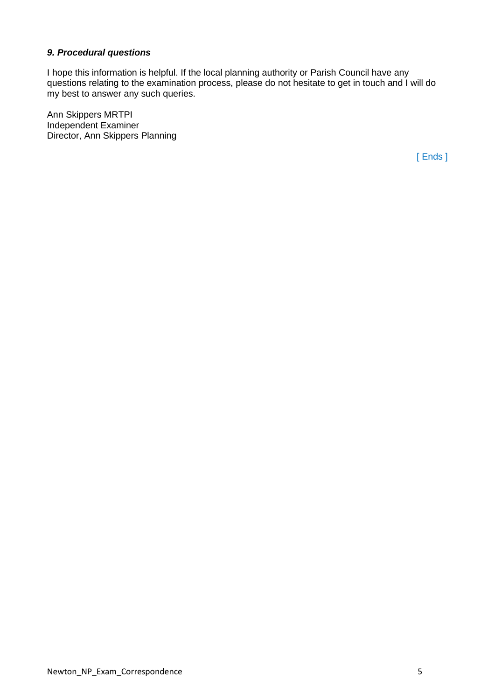#### *9. Procedural questions*

I hope this information is helpful. If the local planning authority or Parish Council have any questions relating to the examination process, please do not hesitate to get in touch and I will do my best to answer any such queries.

Ann Skippers MRTPI Independent Examiner Director, Ann Skippers Planning

[ Ends ]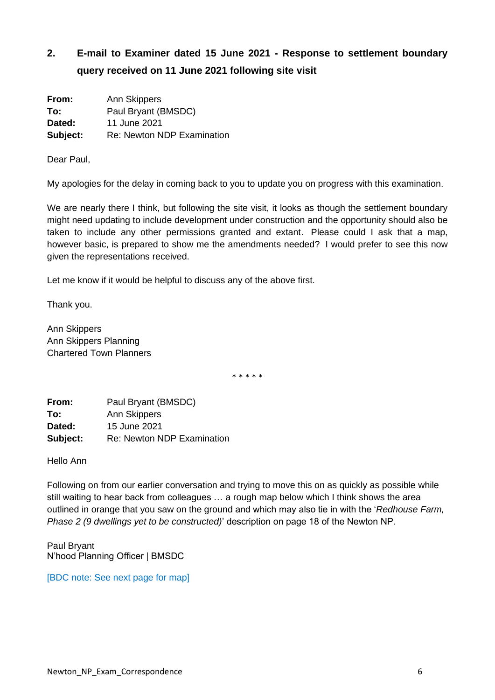# **2. E-mail to Examiner dated 15 June 2021 - Response to settlement boundary query received on 11 June 2021 following site visit**

| From:    | Ann Skippers                      |
|----------|-----------------------------------|
| To:      | Paul Bryant (BMSDC)               |
| Dated:   | 11 June 2021                      |
| Subject: | <b>Re: Newton NDP Examination</b> |

Dear Paul,

My apologies for the delay in coming back to you to update you on progress with this examination.

We are nearly there I think, but following the site visit, it looks as though the settlement boundary might need updating to include development under construction and the opportunity should also be taken to include any other permissions granted and extant. Please could I ask that a map, however basic, is prepared to show me the amendments needed? I would prefer to see this now given the representations received.

Let me know if it would be helpful to discuss any of the above first.

Thank you.

Ann Skippers Ann Skippers Planning Chartered Town Planners

\* \* \* \* \*

| From:    | Paul Bryant (BMSDC)               |
|----------|-----------------------------------|
| To:      | Ann Skippers                      |
| Dated:   | 15 June 2021                      |
| Subject: | <b>Re: Newton NDP Examination</b> |

Hello Ann

Following on from our earlier conversation and trying to move this on as quickly as possible while still waiting to hear back from colleagues … a rough map below which I think shows the area outlined in orange that you saw on the ground and which may also tie in with the '*Redhouse Farm, Phase 2 (9 dwellings yet to be constructed)*' description on page 18 of the Newton NP.

Paul Bryant N'hood Planning Officer | BMSDC

[BDC note: See next page for map]